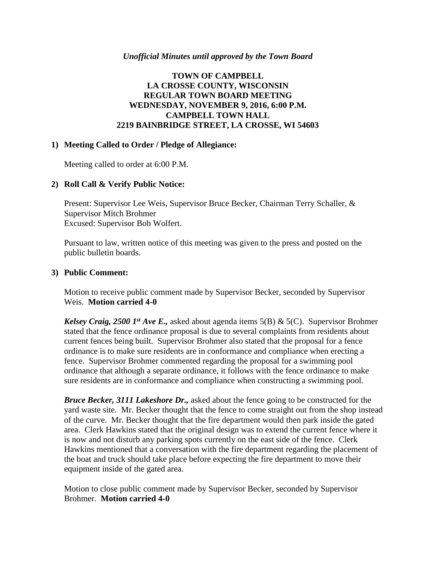#### *Unofficial Minutes until approved by the Town Board*

# **TOWN OF CAMPBELL LA CROSSE COUNTY, WISCONSIN REGULAR TOWN BOARD MEETING WEDNESDAY, NOVEMBER 9, 2016, 6:00 P.M. CAMPBELL TOWN HALL 2219 BAINBRIDGE STREET, LA CROSSE, WI 54603**

### **1) Meeting Called to Order / Pledge of Allegiance:**

Meeting called to order at 6:00 P.M.

# **2) Roll Call & Verify Public Notice:**

Present: Supervisor Lee Weis, Supervisor Bruce Becker, Chairman Terry Schaller, & Supervisor Mitch Brohmer Excused: Supervisor Bob Wolfert.

Pursuant to law, written notice of this meeting was given to the press and posted on the public bulletin boards.

#### **3) Public Comment:**

Motion to receive public comment made by Supervisor Becker, seconded by Supervisor Weis. **Motion carried 4-0**

*Kelsey Craig, 2500 1st Ave E.,* asked about agenda items 5(B) & 5(C). Supervisor Brohmer stated that the fence ordinance proposal is due to several complaints from residents about current fences being built. Supervisor Brohmer also stated that the proposal for a fence ordinance is to make sure residents are in conformance and compliance when erecting a fence. Supervisor Brohmer commented regarding the proposal for a swimming pool ordinance that although a separate ordinance, it follows with the fence ordinance to make sure residents are in conformance and compliance when constructing a swimming pool.

*Bruce Becker, 3111 Lakeshore Dr.,* asked about the fence going to be constructed for the yard waste site. Mr. Becker thought that the fence to come straight out from the shop instead of the curve. Mr. Becker thought that the fire department would then park inside the gated area. Clerk Hawkins stated that the original design was to extend the current fence where it is now and not disturb any parking spots currently on the east side of the fence. Clerk Hawkins mentioned that a conversation with the fire department regarding the placement of the boat and truck should take place before expecting the fire department to move their equipment inside of the gated area.

Motion to close public comment made by Supervisor Becker, seconded by Supervisor Brohmer. **Motion carried 4-0**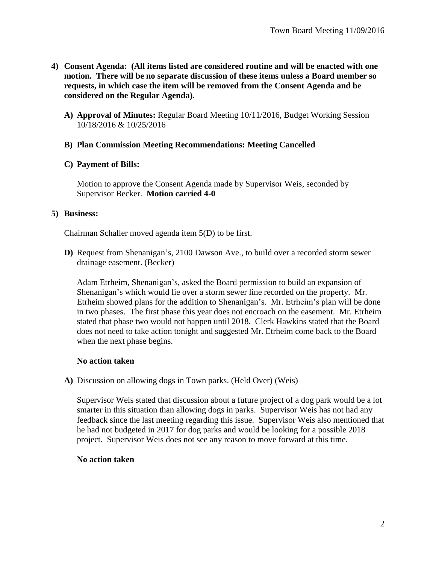- **4) Consent Agenda: (All items listed are considered routine and will be enacted with one motion. There will be no separate discussion of these items unless a Board member so requests, in which case the item will be removed from the Consent Agenda and be considered on the Regular Agenda).**
	- **A) Approval of Minutes:** Regular Board Meeting 10/11/2016, Budget Working Session 10/18/2016 & 10/25/2016

### **B) Plan Commission Meeting Recommendations: Meeting Cancelled**

**C) Payment of Bills:**

Motion to approve the Consent Agenda made by Supervisor Weis, seconded by Supervisor Becker. **Motion carried 4-0**

#### **5) Business:**

Chairman Schaller moved agenda item 5(D) to be first.

**D)** Request from Shenanigan's, 2100 Dawson Ave., to build over a recorded storm sewer drainage easement. (Becker)

Adam Etrheim, Shenanigan's, asked the Board permission to build an expansion of Shenanigan's which would lie over a storm sewer line recorded on the property. Mr. Etrheim showed plans for the addition to Shenanigan's. Mr. Etrheim's plan will be done in two phases. The first phase this year does not encroach on the easement. Mr. Etrheim stated that phase two would not happen until 2018. Clerk Hawkins stated that the Board does not need to take action tonight and suggested Mr. Etrheim come back to the Board when the next phase begins.

# **No action taken**

**A)** Discussion on allowing dogs in Town parks. (Held Over) (Weis)

Supervisor Weis stated that discussion about a future project of a dog park would be a lot smarter in this situation than allowing dogs in parks. Supervisor Weis has not had any feedback since the last meeting regarding this issue. Supervisor Weis also mentioned that he had not budgeted in 2017 for dog parks and would be looking for a possible 2018 project. Supervisor Weis does not see any reason to move forward at this time.

#### **No action taken**